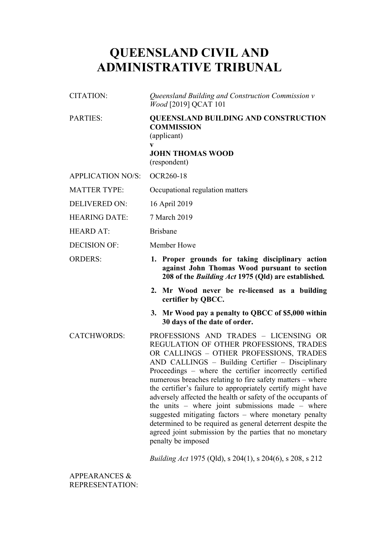# **QUEENSLAND CIVIL AND ADMINISTRATIVE TRIBUNAL**

| <b>CITATION:</b>         | Queensland Building and Construction Commission v<br><i>Wood</i> [2019] QCAT 101                                                                        |
|--------------------------|---------------------------------------------------------------------------------------------------------------------------------------------------------|
| <b>PARTIES:</b>          | <b>QUEENSLAND BUILDING AND CONSTRUCTION</b><br><b>COMMISSION</b><br>(applicant)<br>V<br><b>JOHN THOMAS WOOD</b><br>(respondent)                         |
| <b>APPLICATION NO/S:</b> | <b>OCR260-18</b>                                                                                                                                        |
| <b>MATTER TYPE:</b>      | Occupational regulation matters                                                                                                                         |
| <b>DELIVERED ON:</b>     | 16 April 2019                                                                                                                                           |
| <b>HEARING DATE:</b>     | 7 March 2019                                                                                                                                            |
| <b>HEARD AT:</b>         | <b>Brisbane</b>                                                                                                                                         |
| <b>DECISION OF:</b>      | Member Howe                                                                                                                                             |
| <b>ORDERS:</b>           | 1. Proper grounds for taking disciplinary action<br>against John Thomas Wood pursuant to section<br>208 of the Building Act 1975 (Qld) are established. |
|                          | Mr Wood never be re-licensed as a building<br>2.<br>certifier by QBCC.                                                                                  |
|                          | 3. Mr Wood pay a penalty to QBCC of \$5,000 within                                                                                                      |
|                          | 30 days of the date of order.                                                                                                                           |

*Building Act* 1975 (Qld), s 204(1), s 204(6), s 208, s 212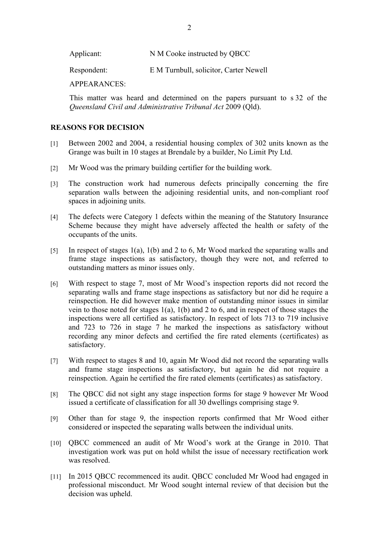Applicant: N M Cooke instructed by OBCC

Respondent: E M Turnbull, solicitor, Carter Newell

APPEARANCES:

This matter was heard and determined on the papers pursuant to s 32 of the *Queensland Civil and Administrative Tribunal Act* 2009 (Qld).

### **REASONS FOR DECISION**

- [1] Between 2002 and 2004, a residential housing complex of 302 units known as the Grange was built in 10 stages at Brendale by a builder, No Limit Pty Ltd.
- [2] Mr Wood was the primary building certifier for the building work.
- [3] The construction work had numerous defects principally concerning the fire separation walls between the adjoining residential units, and non-compliant roof spaces in adjoining units.
- [4] The defects were Category 1 defects within the meaning of the Statutory Insurance Scheme because they might have adversely affected the health or safety of the occupants of the units.
- [5] In respect of stages 1(a), 1(b) and 2 to 6, Mr Wood marked the separating walls and frame stage inspections as satisfactory, though they were not, and referred to outstanding matters as minor issues only.
- [6] With respect to stage 7, most of Mr Wood's inspection reports did not record the separating walls and frame stage inspections as satisfactory but nor did he require a reinspection. He did however make mention of outstanding minor issues in similar vein to those noted for stages 1(a), 1(b) and 2 to 6, and in respect of those stages the inspections were all certified as satisfactory. In respect of lots 713 to 719 inclusive and 723 to 726 in stage 7 he marked the inspections as satisfactory without recording any minor defects and certified the fire rated elements (certificates) as satisfactory.
- [7] With respect to stages 8 and 10, again Mr Wood did not record the separating walls and frame stage inspections as satisfactory, but again he did not require a reinspection. Again he certified the fire rated elements (certificates) as satisfactory.
- [8] The QBCC did not sight any stage inspection forms for stage 9 however Mr Wood issued a certificate of classification for all 30 dwellings comprising stage 9.
- [9] Other than for stage 9, the inspection reports confirmed that Mr Wood either considered or inspected the separating walls between the individual units.
- [10] OBCC commenced an audit of Mr Wood's work at the Grange in 2010. That investigation work was put on hold whilst the issue of necessary rectification work was resolved.
- [11] In 2015 QBCC recommenced its audit. QBCC concluded Mr Wood had engaged in professional misconduct. Mr Wood sought internal review of that decision but the decision was upheld.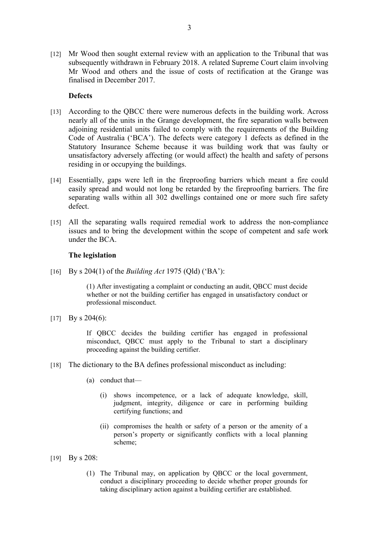[12] Mr Wood then sought external review with an application to the Tribunal that was subsequently withdrawn in February 2018. A related Supreme Court claim involving Mr Wood and others and the issue of costs of rectification at the Grange was finalised in December 2017.

## **Defects**

- [13] According to the QBCC there were numerous defects in the building work. Across nearly all of the units in the Grange development, the fire separation walls between adjoining residential units failed to comply with the requirements of the Building Code of Australia ('BCA'). The defects were category 1 defects as defined in the Statutory Insurance Scheme because it was building work that was faulty or unsatisfactory adversely affecting (or would affect) the health and safety of persons residing in or occupying the buildings.
- [14] Essentially, gaps were left in the fireproofing barriers which meant a fire could easily spread and would not long be retarded by the fireproofing barriers. The fire separating walls within all 302 dwellings contained one or more such fire safety defect.
- [15] All the separating walls required remedial work to address the non-compliance issues and to bring the development within the scope of competent and safe work under the BCA.

## **The legislation**

[16] By s 204(1) of the *Building Act* 1975 (Qld) ('BA'):

(1) After investigating a complaint or conducting an audit, QBCC must decide whether or not the building certifier has engaged in unsatisfactory conduct or professional misconduct.

[17] By s 204(6):

If QBCC decides the building certifier has engaged in professional misconduct, QBCC must apply to the Tribunal to start a disciplinary proceeding against the building certifier.

- [18] The dictionary to the BA defines professional misconduct as including:
	- (a) conduct that—
		- (i) shows incompetence, or a lack of adequate knowledge, skill, judgment, integrity, diligence or care in performing building certifying functions; and
		- (ii) compromises the health or safety of a person or the amenity of a person's property or significantly conflicts with a local planning scheme;
- [19] By s 208:
	- (1) The Tribunal may, on application by QBCC or the local government, conduct a disciplinary proceeding to decide whether proper grounds for taking disciplinary action against a building certifier are established.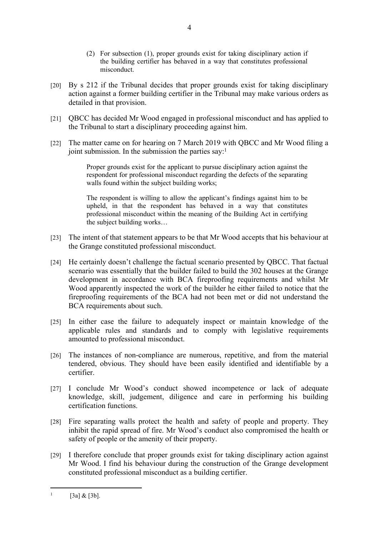- (2) For subsection (1), proper grounds exist for taking disciplinary action if the building certifier has behaved in a way that constitutes professional misconduct.
- [20] By s 212 if the Tribunal decides that proper grounds exist for taking disciplinary action against a former building certifier in the Tribunal may make various orders as detailed in that provision.
- [21] QBCC has decided Mr Wood engaged in professional misconduct and has applied to the Tribunal to start a disciplinary proceeding against him.
- [22] The matter came on for hearing on 7 March 2019 with QBCC and Mr Wood filing a joint submission. In the submission the parties say:<sup>1</sup>

Proper grounds exist for the applicant to pursue disciplinary action against the respondent for professional misconduct regarding the defects of the separating walls found within the subject building works;

The respondent is willing to allow the applicant's findings against him to be upheld, in that the respondent has behaved in a way that constitutes professional misconduct within the meaning of the Building Act in certifying the subject building works…

- [23] The intent of that statement appears to be that Mr Wood accepts that his behaviour at the Grange constituted professional misconduct.
- [24] He certainly doesn't challenge the factual scenario presented by QBCC. That factual scenario was essentially that the builder failed to build the 302 houses at the Grange development in accordance with BCA fireproofing requirements and whilst Mr Wood apparently inspected the work of the builder he either failed to notice that the fireproofing requirements of the BCA had not been met or did not understand the BCA requirements about such.
- [25] In either case the failure to adequately inspect or maintain knowledge of the applicable rules and standards and to comply with legislative requirements amounted to professional misconduct.
- [26] The instances of non-compliance are numerous, repetitive, and from the material tendered, obvious. They should have been easily identified and identifiable by a certifier.
- [27] I conclude Mr Wood's conduct showed incompetence or lack of adequate knowledge, skill, judgement, diligence and care in performing his building certification functions.
- [28] Fire separating walls protect the health and safety of people and property. They inhibit the rapid spread of fire. Mr Wood's conduct also compromised the health or safety of people or the amenity of their property.
- [29] I therefore conclude that proper grounds exist for taking disciplinary action against Mr Wood. I find his behaviour during the construction of the Grange development constituted professional misconduct as a building certifier.

<sup>1</sup> [3a] & [3b].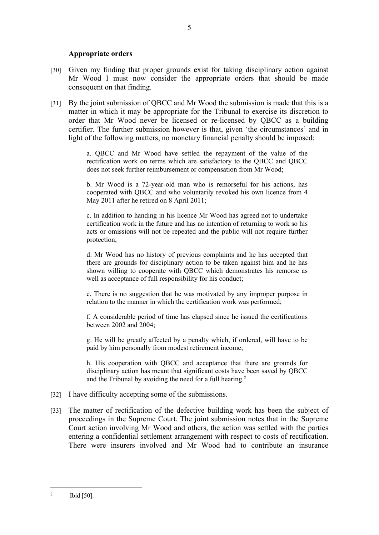### **Appropriate orders**

- [30] Given my finding that proper grounds exist for taking disciplinary action against Mr Wood I must now consider the appropriate orders that should be made consequent on that finding.
- [31] By the joint submission of QBCC and Mr Wood the submission is made that this is a matter in which it may be appropriate for the Tribunal to exercise its discretion to order that Mr Wood never be licensed or re-licensed by QBCC as a building certifier. The further submission however is that, given 'the circumstances' and in light of the following matters, no monetary financial penalty should be imposed:

a. QBCC and Mr Wood have settled the repayment of the value of the rectification work on terms which are satisfactory to the QBCC and QBCC does not seek further reimbursement or compensation from Mr Wood;

b. Mr Wood is a 72-year-old man who is remorseful for his actions, has cooperated with QBCC and who voluntarily revoked his own licence from 4 May 2011 after he retired on 8 April 2011;

c. In addition to handing in his licence Mr Wood has agreed not to undertake certification work in the future and has no intention of returning to work so his acts or omissions will not be repeated and the public will not require further protection;

d. Mr Wood has no history of previous complaints and he has accepted that there are grounds for disciplinary action to be taken against him and he has shown willing to cooperate with QBCC which demonstrates his remorse as well as acceptance of full responsibility for his conduct;

e. There is no suggestion that he was motivated by any improper purpose in relation to the manner in which the certification work was performed;

f. A considerable period of time has elapsed since he issued the certifications between 2002 and 2004;

g. He will be greatly affected by a penalty which, if ordered, will have to be paid by him personally from modest retirement income;

h. His cooperation with QBCC and acceptance that there are grounds for disciplinary action has meant that significant costs have been saved by QBCC and the Tribunal by avoiding the need for a full hearing.<sup>2</sup>

- [32] I have difficulty accepting some of the submissions.
- [33] The matter of rectification of the defective building work has been the subject of proceedings in the Supreme Court. The joint submission notes that in the Supreme Court action involving Mr Wood and others, the action was settled with the parties entering a confidential settlement arrangement with respect to costs of rectification. There were insurers involved and Mr Wood had to contribute an insurance

<sup>2</sup> Ibid [50].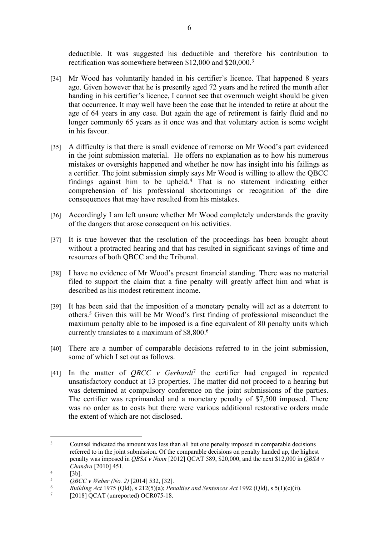deductible. It was suggested his deductible and therefore his contribution to rectification was somewhere between \$12,000 and \$20,000.<sup>3</sup>

- [34] Mr Wood has voluntarily handed in his certifier's licence. That happened 8 years ago. Given however that he is presently aged 72 years and he retired the month after handing in his certifier's licence, I cannot see that overmuch weight should be given that occurrence. It may well have been the case that he intended to retire at about the age of 64 years in any case. But again the age of retirement is fairly fluid and no longer commonly 65 years as it once was and that voluntary action is some weight in his favour.
- [35] A difficulty is that there is small evidence of remorse on Mr Wood's part evidenced in the joint submission material. He offers no explanation as to how his numerous mistakes or oversights happened and whether he now has insight into his failings as a certifier. The joint submission simply says Mr Wood is willing to allow the QBCC findings against him to be upheld.<sup>4</sup> That is no statement indicating either comprehension of his professional shortcomings or recognition of the dire consequences that may have resulted from his mistakes.
- [36] Accordingly I am left unsure whether Mr Wood completely understands the gravity of the dangers that arose consequent on his activities.
- [37] It is true however that the resolution of the proceedings has been brought about without a protracted hearing and that has resulted in significant savings of time and resources of both QBCC and the Tribunal.
- [38] I have no evidence of Mr Wood's present financial standing. There was no material filed to support the claim that a fine penalty will greatly affect him and what is described as his modest retirement income.
- [39] It has been said that the imposition of a monetary penalty will act as a deterrent to others.<sup>5</sup> Given this will be Mr Wood's first finding of professional misconduct the maximum penalty able to be imposed is a fine equivalent of 80 penalty units which currently translates to a maximum of \$8,800.<sup>6</sup>
- [40] There are a number of comparable decisions referred to in the joint submission, some of which I set out as follows.
- [41] In the matter of *QBCC v Gerhardt*<sup>7</sup> the certifier had engaged in repeated unsatisfactory conduct at 13 properties. The matter did not proceed to a hearing but was determined at compulsory conference on the joint submissions of the parties. The certifier was reprimanded and a monetary penalty of \$7,500 imposed. There was no order as to costs but there were various additional restorative orders made the extent of which are not disclosed.

<sup>3</sup> Counsel indicated the amount was less than all but one penalty imposed in comparable decisions referred to in the joint submission. Of the comparable decisions on penalty handed up, the highest penalty was imposed in *QBSA v Nunn* [2012] QCAT 589, \$20,000, and the next \$12,000 in *QBSA v Chandra* [2010] 451.

<sup>4</sup>  $^{4}$  [3b].

 $^{5}$  *QBCC v Weber (No. 2)* [2014] 532, [32].

<sup>6</sup> *Building Act* 1975 (Qld), s 212(5)(a); *Penalties and Sentences Act* 1992 (Qld), s 5(1)(e)(ii).

<sup>7</sup> [2018] QCAT (unreported) OCR075-18.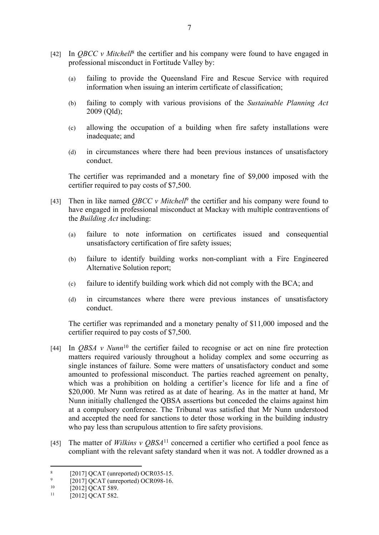- [42] In *QBCC v Mitchell<sup>8</sup>* the certifier and his company were found to have engaged in professional misconduct in Fortitude Valley by:
	- (a) failing to provide the Queensland Fire and Rescue Service with required information when issuing an interim certificate of classification;
	- (b) failing to comply with various provisions of the *Sustainable Planning Act*  2009 (Qld);
	- (c) allowing the occupation of a building when fire safety installations were inadequate; and
	- (d) in circumstances where there had been previous instances of unsatisfactory conduct.

The certifier was reprimanded and a monetary fine of \$9,000 imposed with the certifier required to pay costs of \$7,500.

- [43] Then in like named *QBCC v Mitchell*<sup>9</sup> the certifier and his company were found to have engaged in professional misconduct at Mackay with multiple contraventions of the *Building Act* including:
	- (a) failure to note information on certificates issued and consequential unsatisfactory certification of fire safety issues;
	- (b) failure to identify building works non-compliant with a Fire Engineered Alternative Solution report;
	- (c) failure to identify building work which did not comply with the BCA; and
	- (d) in circumstances where there were previous instances of unsatisfactory conduct.

The certifier was reprimanded and a monetary penalty of \$11,000 imposed and the certifier required to pay costs of \$7,500.

- [44] In *QBSA v Nunn*<sup>10</sup> the certifier failed to recognise or act on nine fire protection matters required variously throughout a holiday complex and some occurring as single instances of failure. Some were matters of unsatisfactory conduct and some amounted to professional misconduct. The parties reached agreement on penalty, which was a prohibition on holding a certifier's licence for life and a fine of \$20,000. Mr Nunn was retired as at date of hearing. As in the matter at hand, Mr Nunn initially challenged the QBSA assertions but conceded the claims against him at a compulsory conference. The Tribunal was satisfied that Mr Nunn understood and accepted the need for sanctions to deter those working in the building industry who pay less than scrupulous attention to fire safety provisions.
- [45] The matter of *Wilkins v QBSA*<sup>11</sup> concerned a certifier who certified a pool fence as compliant with the relevant safety standard when it was not. A toddler drowned as a

<sup>8</sup> [2017] QCAT (unreported) OCR035-15.

 $\overline{Q}$  $^{9}$  [2017] QCAT (unreported) OCR098-16.

 $\frac{10}{11}$  [2012] QCAT 589.

<sup>[2012]</sup> QCAT 582.